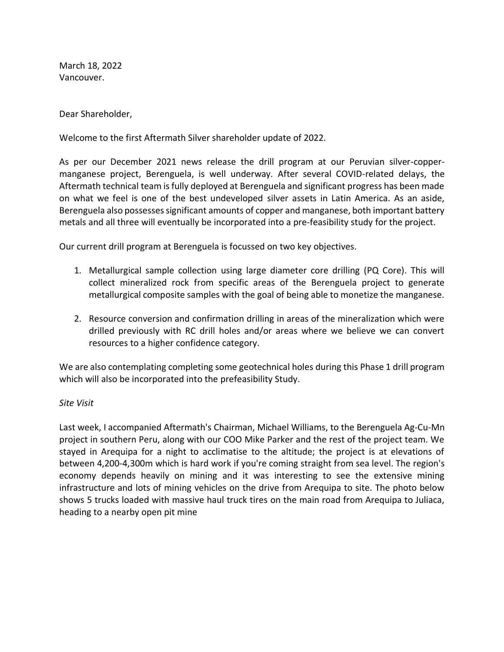March 18, 2022 Vancouver.

Dear Shareholder,

Welcome to the first Aftermath Silver shareholder update of 2022.

As per our December 2021 news release the drill program at our Peruvian silver-coppermanganese project, Berenguela, is well underway. After several COVID-related delays, the Aftermath technical team is fully deployed at Berenguela and significant progress has been made on what we feel is one of the best undeveloped silver assets in Latin America. As an aside, Berenguela also possesses significant amounts of copper and manganese, both important battery metals and all three will eventually be incorporated into a pre-feasibility study for the project.

Our current drill program at Berenguela is focussed on two key objectives.

- 1. Metallurgical sample collection using large diameter core drilling (PQ Core). This will collect mineralized rock from specific areas of the Berenguela project to generate metallurgical composite samples with the goal of being able to monetize the manganese.
- 2. Resource conversion and confirmation drilling in areas of the mineralization which were drilled previously with RC drill holes and/or areas where we believe we can convert resources to a higher confidence category.

We are also contemplating completing some geotechnical holes during this Phase 1 drill program which will also be incorporated into the prefeasibility Study.

### *Site Visit*

Last week, I accompanied Aftermath's Chairman, Michael Williams, to the Berenguela Ag-Cu-Mn project in southern Peru, along with our COO Mike Parker and the rest of the project team. We stayed in Arequipa for a night to acclimatise to the altitude; the project is at elevations of between 4,200-4,300m which is hard work if you're coming straight from sea level. The region's economy depends heavily on mining and it was interesting to see the extensive mining infrastructure and lots of mining vehicles on the drive from Arequipa to site. The photo below shows 5 trucks loaded with massive haul truck tires on the main road from Arequipa to Juliaca, heading to a nearby open pit mine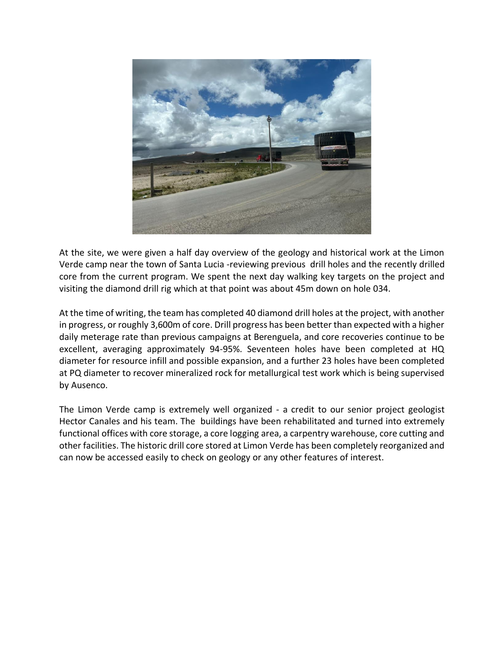

At the site, we were given a half day overview of the geology and historical work at the Limon Verde camp near the town of Santa Lucia -reviewing previous drill holes and the recently drilled core from the current program. We spent the next day walking key targets on the project and visiting the diamond drill rig which at that point was about 45m down on hole 034.

At the time of writing, the team has completed 40 diamond drill holes at the project, with another in progress, or roughly 3,600m of core. Drill progress has been better than expected with a higher daily meterage rate than previous campaigns at Berenguela, and core recoveries continue to be excellent, averaging approximately 94-95%. Seventeen holes have been completed at HQ diameter for resource infill and possible expansion, and a further 23 holes have been completed at PQ diameter to recover mineralized rock for metallurgical test work which is being supervised by Ausenco.

The Limon Verde camp is extremely well organized - a credit to our senior project geologist Hector Canales and his team. The buildings have been rehabilitated and turned into extremely functional offices with core storage, a core logging area, a carpentry warehouse, core cutting and other facilities. The historic drill core stored at Limon Verde has been completely reorganized and can now be accessed easily to check on geology or any other features of interest.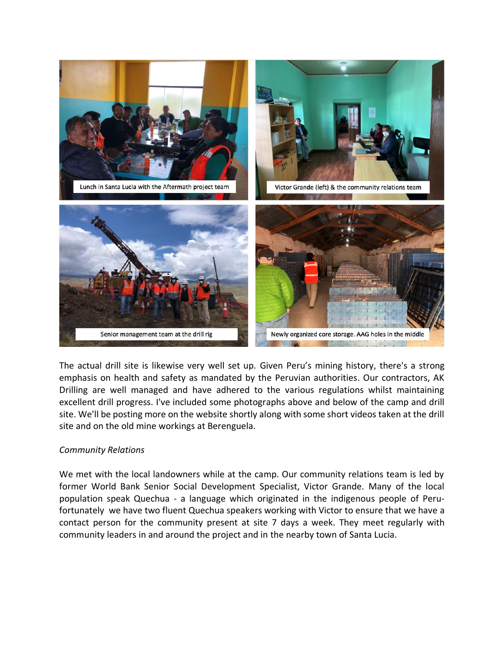

The actual drill site is likewise very well set up. Given Peru's mining history, there's a strong emphasis on health and safety as mandated by the Peruvian authorities. Our contractors, AK Drilling are well managed and have adhered to the various regulations whilst maintaining excellent drill progress. I've included some photographs above and below of the camp and drill site. We'll be posting more on the website shortly along with some short videos taken at the drill site and on the old mine workings at Berenguela.

# *Community Relations*

We met with the local landowners while at the camp. Our community relations team is led by former World Bank Senior Social Development Specialist, Victor Grande. Many of the local population speak Quechua - a language which originated in the indigenous people of Perufortunately we have two fluent Quechua speakers working with Victor to ensure that we have a contact person for the community present at site 7 days a week. They meet regularly with community leaders in and around the project and in the nearby town of Santa Lucia.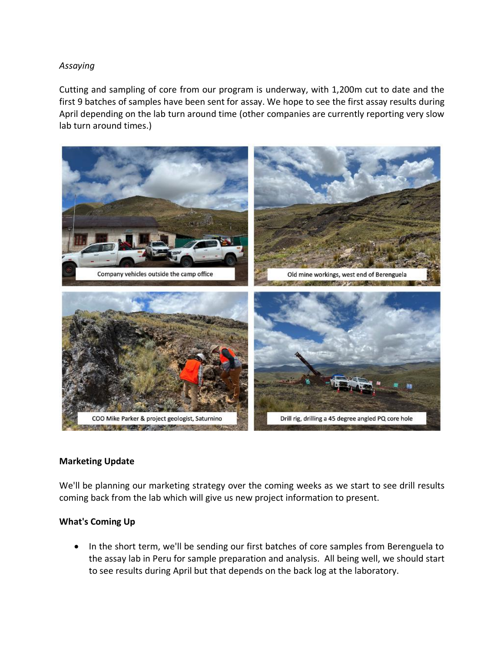## *Assaying*

Cutting and sampling of core from our program is underway, with 1,200m cut to date and the first 9 batches of samples have been sent for assay. We hope to see the first assay results during April depending on the lab turn around time (other companies are currently reporting very slow lab turn around times.)



### **Marketing Update**

We'll be planning our marketing strategy over the coming weeks as we start to see drill results coming back from the lab which will give us new project information to present.

### **What's Coming Up**

• In the short term, we'll be sending our first batches of core samples from Berenguela to the assay lab in Peru for sample preparation and analysis. All being well, we should start to see results during April but that depends on the back log at the laboratory.